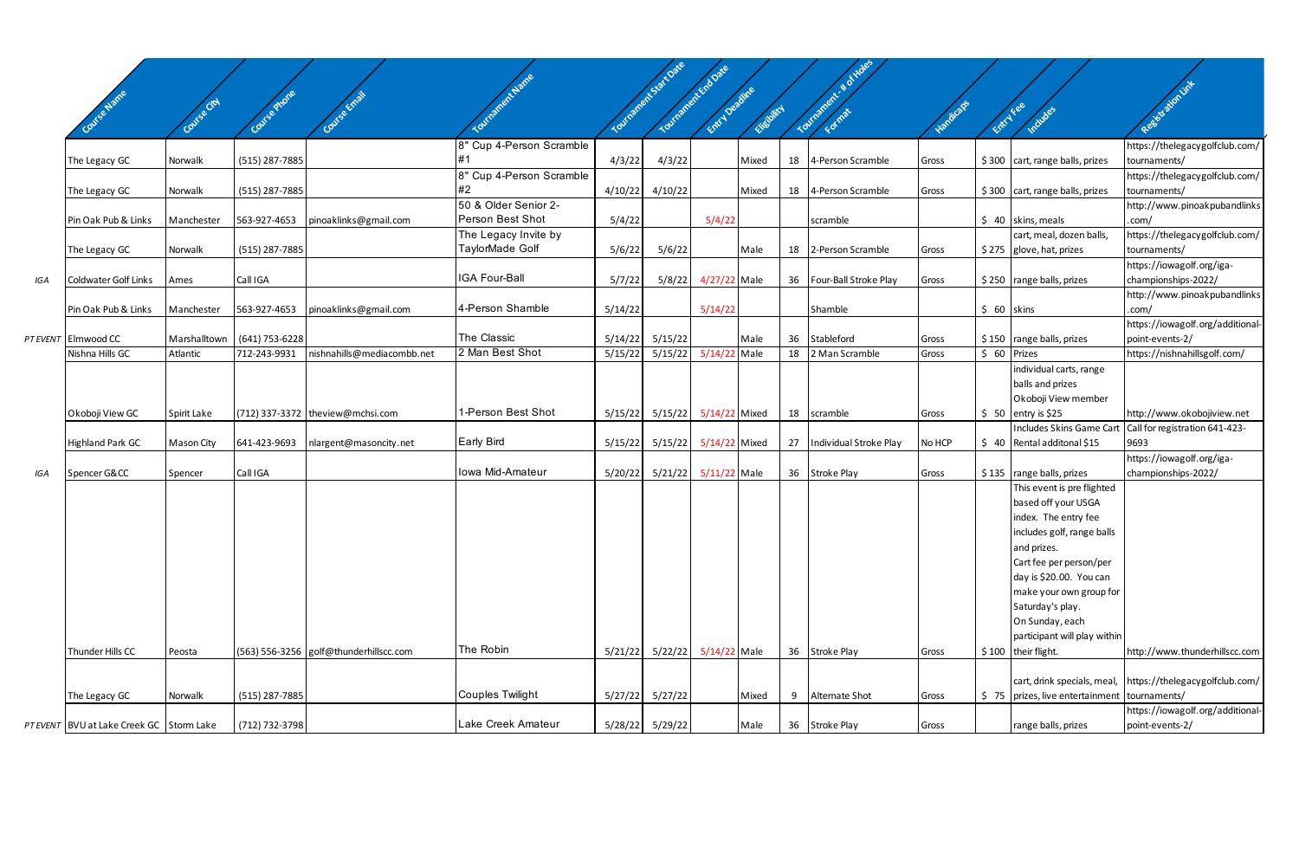|     |                                         |              |                |                                        |                                |         | Tourisment Start Date | Tourished Explore |            |    |                          |           |              |                                                 |                                                              |
|-----|-----------------------------------------|--------------|----------------|----------------------------------------|--------------------------------|---------|-----------------------|-------------------|------------|----|--------------------------|-----------|--------------|-------------------------------------------------|--------------------------------------------------------------|
|     |                                         |              |                |                                        |                                |         |                       |                   |            |    |                          |           |              |                                                 | Resistation line                                             |
|     | Covise Name                             | Covise City  |                |                                        |                                |         |                       | Entry Deadline    | Checipital |    | Tourisment               | Vandicaps | Entry Fee    | Indudes                                         |                                                              |
|     |                                         |              |                |                                        |                                |         |                       |                   |            |    |                          |           |              |                                                 |                                                              |
|     |                                         |              |                |                                        | 8" Cup 4-Person Scramble       |         |                       |                   |            |    |                          |           |              |                                                 | https://thelegacygolfclub.com/                               |
|     | The Legacy GC                           | Norwalk      | (515) 287-7885 |                                        | l#1                            | 4/3/22  | 4/3/22                |                   | Mixed      | 18 | 4-Person Scramble        | Gross     |              | \$300 cart, range balls, prizes                 | tournaments/                                                 |
|     |                                         |              |                |                                        | 8" Cup 4-Person Scramble<br>#2 |         |                       |                   |            |    |                          |           |              |                                                 | https://thelegacygolfclub.com/                               |
|     | The Legacy GC                           | Norwalk      | (515) 287-7885 |                                        | 50 & Older Senior 2-           | 4/10/22 | 4/10/22               |                   | Mixed      | 18 | 4-Person Scramble        | Gross     |              | $$300$ cart, range balls, prizes                | tournaments/<br>http://www.pinoakpubandlinks                 |
|     | Pin Oak Pub & Links                     | Manchester   | 563-927-4653   |                                        | Person Best Shot               | 5/4/22  |                       | 5/4/22            |            |    | scramble                 |           |              | $$40$ skins, meals                              | .com/                                                        |
|     |                                         |              |                | pinoaklinks@gmail.com                  | The Legacy Invite by           |         |                       |                   |            |    |                          |           |              | cart, meal, dozen balls,                        | https://thelegacygolfclub.com/                               |
|     | The Legacy GC                           | Norwalk      | (515) 287-7885 |                                        | TaylorMade Golf                | 5/6/22  | 5/6/22                |                   | Male       | 18 | 2-Person Scramble        | Gross     |              | \$275 glove, hat, prizes                        | tournaments/                                                 |
|     |                                         |              |                |                                        |                                |         |                       |                   |            |    |                          |           |              |                                                 | https://iowagolf.org/iga-                                    |
| IGA | <b>Coldwater Golf Links</b>             | Ames         | Call IGA       |                                        | <b>IGA Four-Ball</b>           | 5/7/22  | 5/8/22                | 4/27/22 Male      |            |    | 36 Four-Ball Stroke Play | Gross     |              | $$250$ range balls, prizes                      | championships-2022/                                          |
|     |                                         |              |                |                                        |                                |         |                       |                   |            |    |                          |           |              |                                                 | http://www.pinoakpubandlinks                                 |
|     | Pin Oak Pub & Links                     | Manchester   | 563-927-4653   | pinoaklinks@gmail.com                  | 4-Person Shamble               | 5/14/22 |                       | 5/14/22           |            |    | Shamble                  |           | $$60$ skins  |                                                 | .com/                                                        |
|     |                                         |              |                |                                        |                                |         |                       |                   |            |    |                          |           |              |                                                 | https://iowagolf.org/additional-                             |
|     | PT EVENT Elmwood CC                     | Marshalltown | (641) 753-6228 |                                        | The Classic                    |         | $5/14/22$ $5/15/22$   |                   | Male       | 36 | Stableford               | Gross     |              | \$150 range balls, prizes                       | point-events-2/                                              |
|     | Nishna Hills GC                         | Atlantic     | 712-243-9931   | nishnahills@mediacombb.net             | 2 Man Best Shot                | 5/15/22 | 5/15/22               | 5/14/22 Male      |            |    | 18 2 Man Scramble        | Gross     | $$60$ Prizes |                                                 | https://nishnahillsgolf.com/                                 |
|     |                                         |              |                |                                        |                                |         |                       |                   |            |    |                          |           |              | individual carts, range                         |                                                              |
|     |                                         |              |                |                                        |                                |         |                       |                   |            |    |                          |           |              | balls and prizes                                |                                                              |
|     |                                         |              |                |                                        | 1-Person Best Shot             |         |                       |                   |            |    |                          |           |              | Okoboji View member                             |                                                              |
|     | Okoboji View GC                         | Spirit Lake  |                | (712) 337-3372   theview@mchsi.com     |                                |         | $5/15/22$ $5/15/22$   | 5/14/22 Mixed     |            | 18 | scramble                 | Gross     |              | $$50$ entry is \$25<br>Includes Skins Game Cart | http://www.okobojiview.net<br>Call for registration 641-423- |
|     | <b>Highland Park GC</b>                 | Mason City   | 641-423-9693   | nlargent@masoncity.net                 | <b>Early Bird</b>              | 5/15/22 | 5/15/22               | 5/14/22 Mixed     |            | 27 | Individual Stroke Play   | No HCP    |              | $\frac{1}{2}$ 40 Rental additonal \$15          | 9693                                                         |
|     |                                         |              |                |                                        |                                |         |                       |                   |            |    |                          |           |              |                                                 | https://iowagolf.org/iga-                                    |
| IGA | Spencer G&CC                            | Spencer      | Call IGA       |                                        | Iowa Mid-Amateur               |         | 5/20/22 5/21/22       | 5/11/22 Male      |            |    | 36 Stroke Play           | Gross     |              | $$135$ range balls, prizes                      | championships-2022/                                          |
|     |                                         |              |                |                                        |                                |         |                       |                   |            |    |                          |           |              | This event is pre flighted                      |                                                              |
|     |                                         |              |                |                                        |                                |         |                       |                   |            |    |                          |           |              | based off your USGA                             |                                                              |
|     |                                         |              |                |                                        |                                |         |                       |                   |            |    |                          |           |              | index. The entry fee                            |                                                              |
|     |                                         |              |                |                                        |                                |         |                       |                   |            |    |                          |           |              | includes golf, range balls                      |                                                              |
|     |                                         |              |                |                                        |                                |         |                       |                   |            |    |                          |           |              | and prizes.                                     |                                                              |
|     |                                         |              |                |                                        |                                |         |                       |                   |            |    |                          |           |              | Cart fee per person/per                         |                                                              |
|     |                                         |              |                |                                        |                                |         |                       |                   |            |    |                          |           |              | day is \$20.00. You can                         |                                                              |
|     |                                         |              |                |                                        |                                |         |                       |                   |            |    |                          |           |              | make your own group for                         |                                                              |
|     |                                         |              |                |                                        |                                |         |                       |                   |            |    |                          |           |              | Saturday's play.                                |                                                              |
|     |                                         |              |                |                                        |                                |         |                       |                   |            |    |                          |           |              | On Sunday, each                                 |                                                              |
|     |                                         |              |                |                                        | The Robin                      |         |                       |                   |            |    |                          |           |              | participant will play within                    |                                                              |
|     | Thunder Hills CC                        | Peosta       |                | (563) 556-3256 golf@thunderhillscc.com |                                |         | 5/21/22   5/22/22     | 5/14/22 Male      |            |    | 36 Stroke Play           | Gross     |              | $$100$ their flight.                            | http://www.thunderhillscc.com                                |
|     |                                         |              |                |                                        |                                |         |                       |                   |            |    |                          |           |              | cart, drink specials, meal,                     | https://thelegacygolfclub.com/                               |
|     | The Legacy GC                           | Norwalk      | (515) 287-7885 |                                        | Couples Twilight               |         | $5/27/22$ $5/27/22$   |                   | Mixed      | 9  | Alternate Shot           | Gross     |              | $$75$ prizes, live entertainment                | tournaments/                                                 |
|     |                                         |              |                |                                        |                                |         |                       |                   |            |    |                          |           |              |                                                 | https://iowagolf.org/additional-                             |
|     | PTEVENT BVU at Lake Creek GC Storm Lake |              | (712) 732-3798 |                                        | Lake Creek Amateur             |         |                       |                   | Male       |    | 36 Stroke Play           | Gross     |              | range balls, prizes                             | point-events-2/                                              |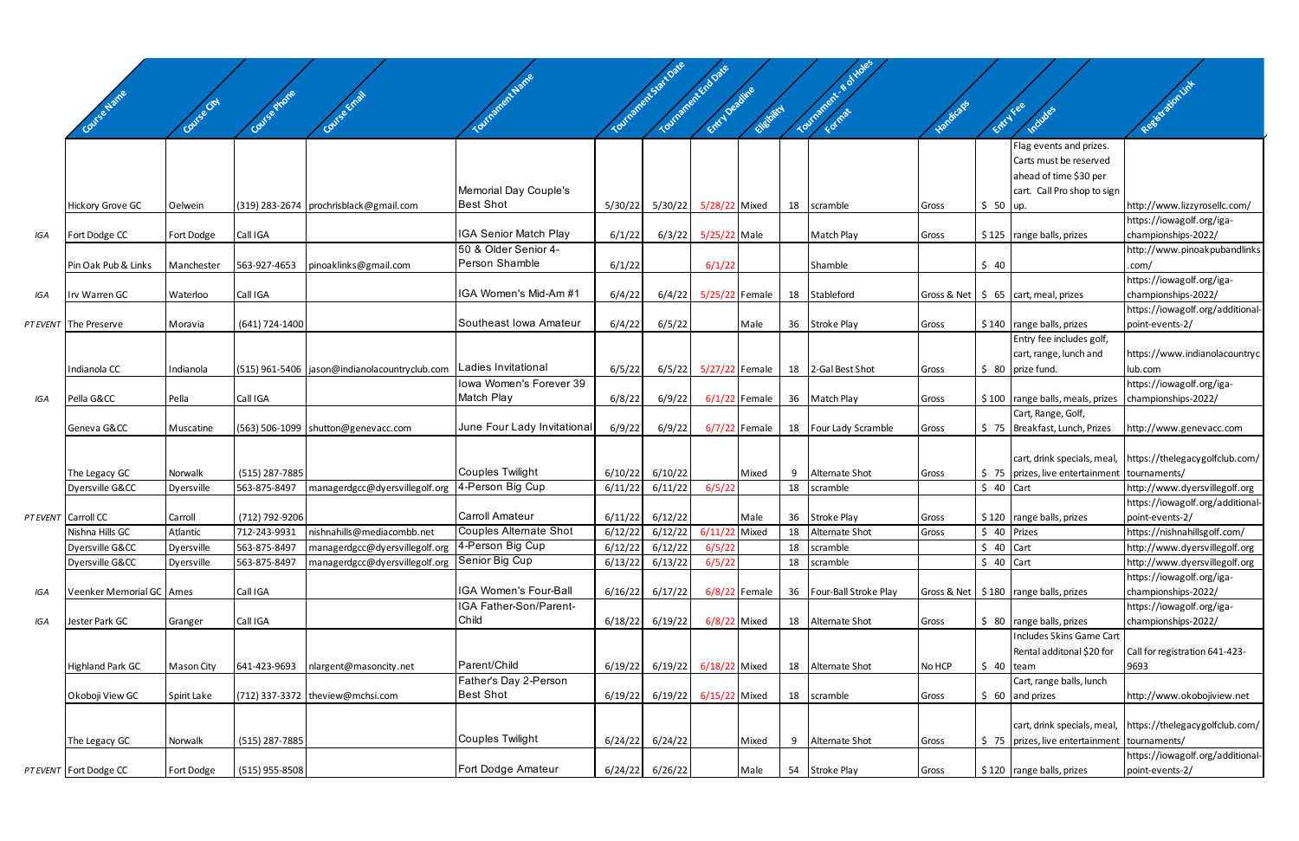|     |                            |                   |                  |                                                                                 |                              |         |                                             |                 |                 |    | <b>RYOKS</b>          |            |              |                                                          |                                                            |
|-----|----------------------------|-------------------|------------------|---------------------------------------------------------------------------------|------------------------------|---------|---------------------------------------------|-----------------|-----------------|----|-----------------------|------------|--------------|----------------------------------------------------------|------------------------------------------------------------|
|     |                            |                   |                  |                                                                                 |                              |         | Yournament Start Date<br>Tourisment Endorse | Entry Deadline  |                 |    | Tourment & & or       |            |              |                                                          | Resistation int                                            |
|     | Covise Name                | Covise City       | Course Mone      | Course Email                                                                    |                              |         |                                             |                 | Elisbirch       |    |                       | -Jandicaps | Entry Fee    | Includes                                                 |                                                            |
|     |                            |                   |                  |                                                                                 |                              |         |                                             |                 |                 |    |                       |            |              | Flag events and prizes.                                  |                                                            |
|     |                            |                   |                  |                                                                                 |                              |         |                                             |                 |                 |    |                       |            |              | Carts must be reserved                                   |                                                            |
|     |                            |                   |                  |                                                                                 |                              |         |                                             |                 |                 |    |                       |            |              | ahead of time \$30 per                                   |                                                            |
|     |                            |                   |                  |                                                                                 | Memorial Day Couple's        |         |                                             |                 |                 |    |                       |            |              | cart. Call Pro shop to sign                              |                                                            |
|     | <b>Hickory Grove GC</b>    | Oelwein           |                  | (319) 283-2674   prochrisblack@gmail.com                                        | <b>Best Shot</b>             | 5/30/22 | 5/30/22                                     | 5/28/22 Mixed   |                 | 18 | scramble              | Gross      | $$50$ up.    |                                                          | http://www.lizzyrosellc.com/<br>https://iowagolf.org/iga-  |
| IGA | Fort Dodge CC              | Fort Dodge        | Call IGA         |                                                                                 | <b>IGA Senior Match Play</b> | 6/1/22  | 6/3/22                                      | 5/25/22 Male    |                 |    | Match Play            | Gross      |              | $$125$ range balls, prizes                               | championships-2022/                                        |
|     |                            |                   |                  |                                                                                 | 50 & Older Senior 4-         |         |                                             |                 |                 |    |                       |            |              |                                                          | http://www.pinoakpubandlinks                               |
|     | Pin Oak Pub & Links        | Manchester        | 563-927-4653     | pinoaklinks@gmail.com                                                           | Person Shamble               | 6/1/22  |                                             | 6/1/22          |                 |    | Shamble               |            | \$40         |                                                          | .com/                                                      |
|     | Irv Warren GC              | Waterloo          | Call IGA         |                                                                                 | IGA Women's Mid-Am #1        | 6/4/22  |                                             | 5/25/22 Female  |                 |    | 18 Stableford         |            |              | Gross & Net $\frac{1}{5}$ 65 cart, meal, prizes          | https://iowagolf.org/iga-<br>championships-2022/           |
| IGA |                            |                   |                  |                                                                                 |                              |         | 6/4/22                                      |                 |                 |    |                       |            |              |                                                          | https://iowagolf.org/additional-                           |
|     | PT EVENT The Preserve      | Moravia           | (641) 724-1400   |                                                                                 | Southeast Iowa Amateur       | 6/4/22  | 6/5/22                                      |                 | Male            |    | 36 Stroke Play        | Gross      |              | $$140$ range balls, prizes                               | point-events-2/                                            |
|     |                            |                   |                  |                                                                                 |                              |         |                                             |                 |                 |    |                       |            |              | Entry fee includes golf,                                 |                                                            |
|     |                            |                   |                  |                                                                                 |                              |         |                                             |                 |                 |    |                       |            |              | cart, range, lunch and                                   | https://www.indianolacountryc                              |
|     | Indianola CC               | Indianola         |                  | (515) 961-5406   jason@indianolacountryclub.com   Ladies Invitational           | Iowa Women's Forever 39      | 6/5/22  | 6/5/22                                      | 5/27/22 Female  |                 |    | 18 2-Gal Best Shot    | Gross      |              | $$80$ prize fund.                                        | lub.com<br>https://iowagolf.org/iga-                       |
| IGA | Pella G&CC                 | Pella             | Call IGA         |                                                                                 | Match Play                   | 6/8/22  | 6/9/22                                      |                 | $6/1/22$ Female |    | 36 Match Play         | Gross      |              | \$100   range balls, meals, prizes   championships-2022/ |                                                            |
|     |                            |                   |                  |                                                                                 |                              |         |                                             |                 |                 |    |                       |            |              | Cart, Range, Golf,                                       |                                                            |
|     | Geneva G&CC                | Muscatine         |                  | (563) 506-1099   shutton@genevacc.com                                           | June Four Lady Invitational  | 6/9/22  | 6/9/22                                      |                 | $6/7/22$ Female |    | 18 Four Lady Scramble | Gross      |              | \$75 Breakfast, Lunch, Prizes                            | http://www.genevacc.com                                    |
|     |                            |                   |                  |                                                                                 |                              |         |                                             |                 |                 |    |                       |            |              |                                                          |                                                            |
|     | The Legacy GC              | Norwalk           | (515) 287-7885   |                                                                                 | Couples Twilight             | 6/10/22 | 6/10/22                                     |                 | Mixed           | 9  | Alternate Shot        | Gross      |              | \$75   prizes, live entertainment   tournaments/         | cart, drink specials, meal, https://thelegacygolfclub.com/ |
|     | Dyersville G&CC            | Dyersville        | 563-875-8497     | managerdgcc@dyersvillegolf.org                                                  | 4-Person Big Cup             | 6/11/22 | 6/11/22                                     | 6/5/22          |                 | 18 | scramble              |            | $$40$ Cart   |                                                          | http://www.dyersvillegolf.org                              |
|     |                            |                   |                  |                                                                                 |                              |         |                                             |                 |                 |    |                       |            |              |                                                          | https://iowagolf.org/additional-                           |
|     | PT EVENT Carroll CC        | Carroll           | (712) 792-9206   |                                                                                 | Carroll Amateur              | 6/11/22 | 6/12/22                                     |                 | Male            |    | 36 Stroke Play        | Gross      |              | $$120$ range balls, prizes                               | point-events-2/                                            |
|     | Nishna Hills GC            | Atlantic          | 712-243-9931     | nishnahills@mediacombb.net                                                      | Couples Alternate Shot       | 6/12/22 | 6/12/22                                     | 6/11/22 Mixed   |                 |    | 18 Alternate Shot     | Gross      | \$ 40 Prizes |                                                          | https://nishnahillsgolf.com/                               |
|     | Dyersville G&CC            | Dyersville        | 563-875-8497     | managerdgcc@dyersvillegolf.org<br>managerdgcc@dyersvillegolf.org Senior Big Cup | 4-Person Big Cup             | 6/12/22 | 6/12/22                                     | 6/5/22          |                 | 18 | scramble              |            | $$40$ Cart   |                                                          | http://www.dyersvillegolf.org                              |
|     | Dyersville G&CC            | Dyersville        | 563-875-8497     |                                                                                 |                              | 6/13/22 | 6/13/22                                     | 6/5/22          |                 | 18 | scramble              |            | $$40$ Cart   |                                                          | http://www.dyersvillegolf.org<br>https://iowagolf.org/iga- |
| IGA | Veenker Memorial GC   Ames |                   | Call IGA         |                                                                                 | IGA Women's Four-Ball        | 6/16/22 | 6/17/22                                     |                 | $6/8/22$ Female | 36 | Four-Ball Stroke Play |            |              | Gross & Net   \$180   range balls, prizes                | championships-2022/                                        |
|     |                            |                   |                  |                                                                                 | IGA Father-Son/Parent-       |         |                                             |                 |                 |    |                       |            |              |                                                          | https://iowagolf.org/iga-                                  |
| IGA | Jester Park GC             | Granger           | Call IGA         |                                                                                 | Child                        | 6/18/22 | 6/19/22                                     | $6/8/22$ Mixed  |                 |    | 18 Alternate Shot     | Gross      |              | $$80$ range balls, prizes                                | championships-2022/                                        |
|     |                            |                   |                  |                                                                                 |                              |         |                                             |                 |                 |    |                       |            |              | Includes Skins Game Cart                                 |                                                            |
|     | <b>Highland Park GC</b>    | <b>Mason City</b> | 641-423-9693     | nlargent@masoncity.net                                                          | Parent/Child                 | 6/19/22 | 6/19/22                                     | 6/18/22 Mixed   |                 | 18 | Alternate Shot        | No HCP     | $$40$ team   | Rental additonal \$20 for                                | Call for registration 641-423-<br>9693                     |
|     |                            |                   |                  |                                                                                 | Father's Day 2-Person        |         |                                             |                 |                 |    |                       |            |              | Cart, range balls, lunch                                 |                                                            |
|     | Okoboji View GC            | Spirit Lake       |                  | (712) 337-3372   theview@mchsi.com                                              | <b>Best Shot</b>             | 6/19/22 | 6/19/22                                     | $6/15/22$ Mixed |                 | 18 | scramble              | Gross      |              | $\frac{1}{2}$ 60 and prizes                              | http://www.okobojiview.net                                 |
|     |                            |                   |                  |                                                                                 |                              |         |                                             |                 |                 |    |                       |            |              |                                                          |                                                            |
|     |                            |                   |                  |                                                                                 |                              |         |                                             |                 |                 |    |                       |            |              |                                                          | cart, drink specials, meal, https://thelegacygolfclub.com/ |
|     | The Legacy GC              | Norwalk           | (515) 287-7885   |                                                                                 | Couples Twilight             | 6/24/22 | 6/24/22                                     |                 | Mixed           | 9  | Alternate Shot        | Gross      |              | \$75   prizes, live entertainment   tournaments/         |                                                            |
|     | PT EVENT Fort Dodge CC     | Fort Dodge        | $(515)$ 955-8508 |                                                                                 | Fort Dodge Amateur           | 6/24/22 | 6/26/22                                     |                 | Male            |    | 54 Stroke Play        | Gross      |              | \$120 range balls, prizes                                | https://iowagolf.org/additional-<br>point-events-2/        |
|     |                            |                   |                  |                                                                                 |                              |         |                                             |                 |                 |    |                       |            |              |                                                          |                                                            |

 $\overline{\phantom{a}}$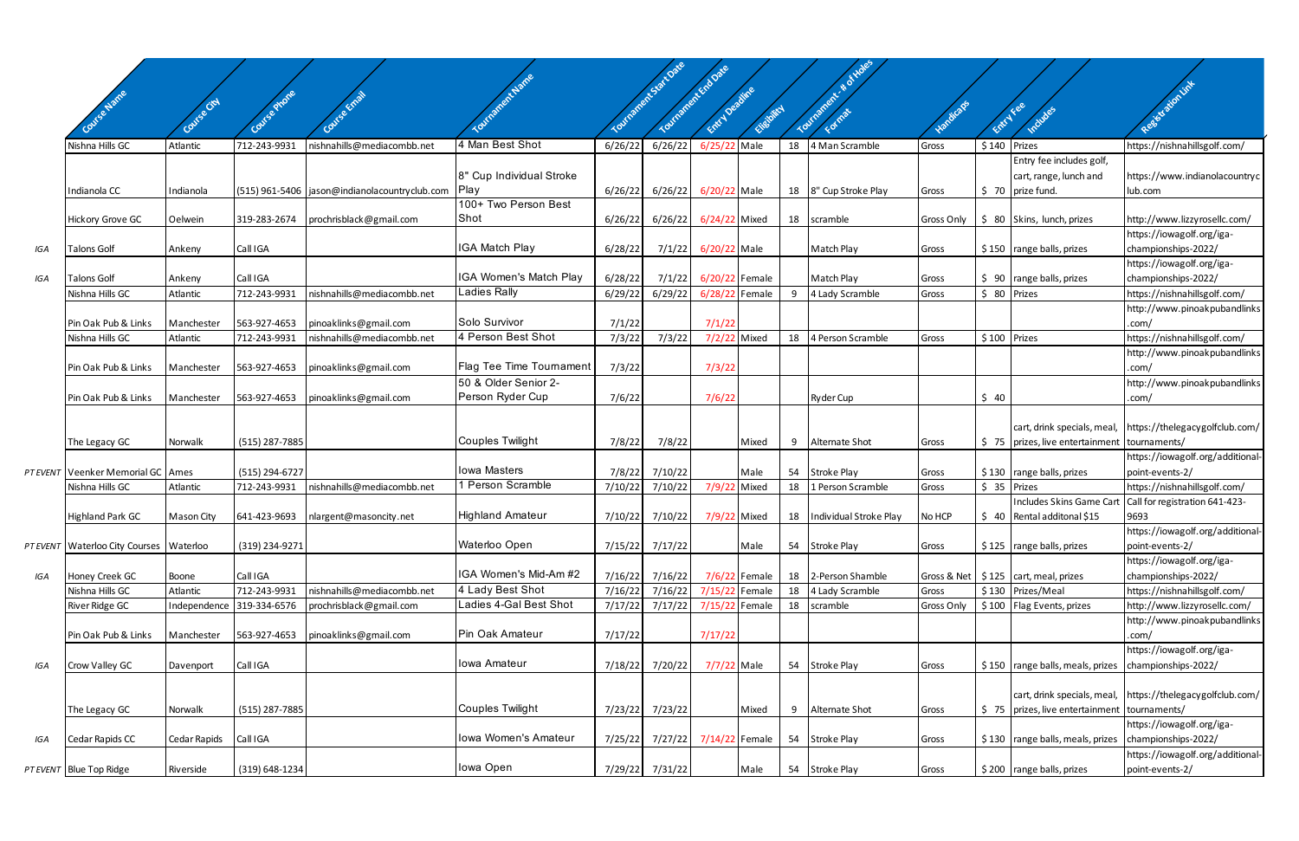|     |                                         |                        |                              |                                                     |                                            |                    | Youthamericsaitoate | Tourisance is to base            |               |    |                                |                     |              |                                                  |                                                              |
|-----|-----------------------------------------|------------------------|------------------------------|-----------------------------------------------------|--------------------------------------------|--------------------|---------------------|----------------------------------|---------------|----|--------------------------------|---------------------|--------------|--------------------------------------------------|--------------------------------------------------------------|
|     |                                         |                        |                              |                                                     |                                            |                    |                     |                                  |               |    |                                |                     |              |                                                  | Registration Link                                            |
|     | Course Name                             |                        |                              |                                                     |                                            |                    |                     | Entry Deadline                   |               |    | Tourisment                     | Handicap            |              |                                                  |                                                              |
|     |                                         |                        |                              |                                                     |                                            |                    |                     |                                  | Eligibility   |    | E Orman                        |                     | Entry Fee    |                                                  |                                                              |
|     | Nishna Hills GC                         | Atlantic               | 712-243-9931                 | nishnahills@mediacombb.net                          | 4 Man Best Shot                            | 6/26/22            | 6/26/22             | 6/25/22 Male                     |               | 18 | 4 Man Scramble                 | Gross               | \$140 Prizes |                                                  | https://nishnahillsgolf.com/                                 |
|     |                                         |                        |                              |                                                     |                                            |                    |                     |                                  |               |    |                                |                     |              | Entry fee includes golf,                         |                                                              |
|     |                                         |                        |                              |                                                     | 8" Cup Individual Stroke                   |                    |                     |                                  |               |    |                                |                     |              | cart, range, lunch and                           | https://www.indianolacountryc                                |
|     | Indianola CC                            | Indianola              |                              | (515) 961-5406   jason@indianolacountryclub.com     | Play<br>100+ Two Person Best               | 6/26/22            | 6/26/22             | 6/20/22 Male                     |               |    | 18   8" Cup Stroke Play        | Gross               |              | \$70 prize fund.                                 | lub.com                                                      |
|     | <b>Hickory Grove GC</b>                 | Oelwein                | 319-283-2674                 | prochrisblack@gmail.com                             | Shot                                       | 6/26/22            | 6/26/22             | 6/24/22 Mixed                    |               |    | 18 scramble                    | Gross Only          |              | \$ 80 Skins, lunch, prizes                       | http://www.lizzyrosellc.com/                                 |
|     |                                         |                        |                              |                                                     |                                            |                    |                     |                                  |               |    |                                |                     |              |                                                  | https://iowagolf.org/iga-                                    |
| IGA | <b>Talons Golf</b>                      | Ankeny                 | Call IGA                     |                                                     | IGA Match Play                             | 6/28/22            | 7/1/22              | 6/20/22 Male                     |               |    | Match Play                     | Gross               |              | $$150$ range balls, prizes                       | championships-2022/                                          |
|     |                                         |                        |                              |                                                     |                                            |                    |                     |                                  |               |    |                                |                     |              |                                                  | https://iowagolf.org/iga-                                    |
| IGA | <b>Talons Golf</b>                      | Ankeny                 | Call IGA                     |                                                     | IGA Women's Match Play                     | 6/28/22            | 7/1/22              | 6/20/22 Female                   |               |    | Match Play                     | Gross               |              | $$90$ range balls, prizes                        | championships-2022/                                          |
|     | Nishna Hills GC                         | Atlantic               | 712-243-9931                 | nishnahills@mediacombb.net                          | <b>Ladies Rally</b>                        | 6/29/22            | 6/29/22             | 6/28/22 Female                   |               | 9  | 4 Lady Scramble                | Gross               | $$80$ Prizes |                                                  | https://nishnahillsgolf.com/                                 |
|     |                                         |                        |                              |                                                     | Solo Survivor                              |                    |                     |                                  |               |    |                                |                     |              |                                                  | http://www.pinoakpubandlinks                                 |
|     | Pin Oak Pub & Links<br>Nishna Hills GC  | Manchester<br>Atlantic | 563-927-4653<br>712-243-9931 | pinoaklinks@gmail.com<br>nishnahills@mediacombb.net | 4 Person Best Shot                         | 7/1/22<br>7/3/22   | 7/3/22              | 7/1/22<br>7/2/22 Mixed           |               | 18 | 4 Person Scramble              | Gross               | \$100 Prizes |                                                  | .com/<br>https://nishnahillsgolf.com/                        |
|     |                                         |                        |                              |                                                     |                                            |                    |                     |                                  |               |    |                                |                     |              |                                                  | http://www.pinoakpubandlinks                                 |
|     | Pin Oak Pub & Links                     | Manchester             | 563-927-4653                 | pinoaklinks@gmail.com                               | Flag Tee Time Tournament                   | 7/3/22             |                     | 7/3/22                           |               |    |                                |                     |              |                                                  | .com/                                                        |
|     |                                         |                        |                              |                                                     | 50 & Older Senior 2-                       |                    |                     |                                  |               |    |                                |                     |              |                                                  | http://www.pinoakpubandlinks                                 |
|     | Pin Oak Pub & Links                     | Manchester             | 563-927-4653                 | pinoaklinks@gmail.com                               | Person Ryder Cup                           | 7/6/22             |                     | 7/6/22                           |               |    | <b>Ryder Cup</b>               |                     | \$40         |                                                  | .com/                                                        |
|     |                                         |                        |                              |                                                     |                                            |                    |                     |                                  |               |    |                                |                     |              |                                                  |                                                              |
|     |                                         |                        |                              |                                                     |                                            |                    |                     |                                  |               |    |                                |                     |              | cart, drink specials, meal,                      | https://thelegacygolfclub.com/                               |
|     | The Legacy GC                           | Norwalk                | (515) 287-7885               |                                                     | Couples Twilight                           | 7/8/22             | 7/8/22              |                                  | Mixed         | 9  | <b>Alternate Shot</b>          | Gross               | \$75         | prizes, live entertainment                       | tournaments/                                                 |
|     | PT EVENT Veenker Memorial GC Ames       |                        | (515) 294-6727               |                                                     | <b>Iowa Masters</b>                        | 7/8/22             | 7/10/22             |                                  | Male          |    | 54 Stroke Play                 |                     |              | $$130$ range balls, prizes                       | https://iowagolf.org/additional<br>point-events-2/           |
|     | Nishna Hills GC                         | Atlantic               | 712-243-9931                 | nishnahills@mediacombb.net                          | 1 Person Scramble                          | 7/10/22            | 7/10/22             | 7/9/22 Mixed                     |               | 18 | 1 Person Scramble              | Gross<br>Gross      | $$35$ Prizes |                                                  | https://nishnahillsgolf.com/                                 |
|     |                                         |                        |                              |                                                     |                                            |                    |                     |                                  |               |    |                                |                     |              | <b>Includes Skins Game Cart</b>                  | Call for registration 641-423-                               |
|     | <b>Highland Park GC</b>                 | Mason City             | 641-423-9693                 | nlargent@masoncity.net                              | Highland Amateur                           | 7/10/22            | 7/10/22             | 7/9/22 Mixed                     |               | 18 | Individual Stroke Play         | No HCP              |              | \$ 40   Rental additonal \$15                    | 9693                                                         |
|     |                                         |                        |                              |                                                     |                                            |                    |                     |                                  |               |    |                                |                     |              |                                                  | https://iowagolf.org/additional                              |
|     | PT EVENT Waterloo City Courses Waterloo |                        | (319) 234-9271               |                                                     | Waterloo Open                              | 7/15/22            | 7/17/22             |                                  | Male          |    | 54 Stroke Play                 | Gross               |              | $$125$ range balls, prizes                       | point-events-2/                                              |
|     |                                         |                        |                              |                                                     |                                            |                    |                     |                                  |               |    |                                |                     |              |                                                  | https://iowagolf.org/iga-                                    |
| IGA | Honey Creek GC                          | Boone                  | Call IGA                     |                                                     | IGA Women's Mid-Am #2                      | 7/16/22            | 7/16/22             |                                  | 7/6/22 Female |    | 18 2-Person Shamble            |                     |              | Gross & Net   \$125   cart, meal, prizes         | championships-2022/                                          |
|     | Nishna Hills GC                         | Atlantic               | 712-243-9931<br>319-334-6576 | nishnahills@mediacombb.net                          | 4 Lady Best Shot<br>Ladies 4-Gal Best Shot | 7/16/22<br>7/17/22 | 7/16/22<br>7/17/22  | 7/15/22 Female<br>7/15/22 Female |               | 18 | 4 Lady Scramble<br>18 scramble | Gross<br>Gross Only |              | \$130 Prizes/Meal<br>\$100   Flag Events, prizes | https://nishnahillsgolf.com/<br>http://www.lizzyrosellc.com/ |
|     | River Ridge GC                          | Independence           |                              | prochrisblack@gmail.com                             |                                            |                    |                     |                                  |               |    |                                |                     |              |                                                  | http://www.pinoakpubandlinks                                 |
|     | Pin Oak Pub & Links                     | Manchester             | 563-927-4653                 | pinoaklinks@gmail.com                               | Pin Oak Amateur                            | 7/17/22            |                     | 7/17/22                          |               |    |                                |                     |              |                                                  | .com/                                                        |
|     |                                         |                        |                              |                                                     |                                            |                    |                     |                                  |               |    |                                |                     |              |                                                  | https://iowagolf.org/iga-                                    |
| IGA | Crow Valley GC                          | Davenport              | Call IGA                     |                                                     | Iowa Amateur                               |                    | 7/18/22 7/20/22     | 7/7/22 Male                      |               |    | 54 Stroke Play                 | Gross               |              | \$150 range balls, meals, prizes                 | championships-2022/                                          |
|     |                                         |                        |                              |                                                     |                                            |                    |                     |                                  |               |    |                                |                     |              |                                                  |                                                              |
|     |                                         |                        |                              |                                                     |                                            |                    |                     |                                  |               |    |                                |                     |              | cart, drink specials, meal,                      | https://thelegacygolfclub.com/                               |
|     | The Legacy GC                           | Norwalk                | (515) 287-7885               |                                                     | Couples Twilight                           |                    | 7/23/22 7/23/22     |                                  | Mixed         | 9  | Alternate Shot                 | Gross               |              | $\frac{1}{2}$ 75   prizes, live entertainment    | tournaments/                                                 |
|     |                                         |                        |                              |                                                     | Iowa Women's Amateur                       |                    |                     |                                  |               |    |                                |                     |              |                                                  | https://iowagolf.org/iga-                                    |
| IGA | Cedar Rapids CC                         | Cedar Rapids           | Call IGA                     |                                                     |                                            | 7/25/22            | 7/27/22             | 7/14/22 Female                   |               |    | 54 Stroke Play                 | Gross               |              | \$130 range balls, meals, prizes                 | championships-2022/<br>https://iowagolf.org/additional       |
|     | PT EVENT Blue Top Ridge                 | Riverside              | (319) 648-1234               |                                                     | Iowa Open                                  |                    | 7/29/22 7/31/22     |                                  | Male          |    | 54 Stroke Play                 | Gross               |              | $$200$ range balls, prizes                       | point-events-2/                                              |
|     |                                         |                        |                              |                                                     |                                            |                    |                     |                                  |               |    |                                |                     |              |                                                  |                                                              |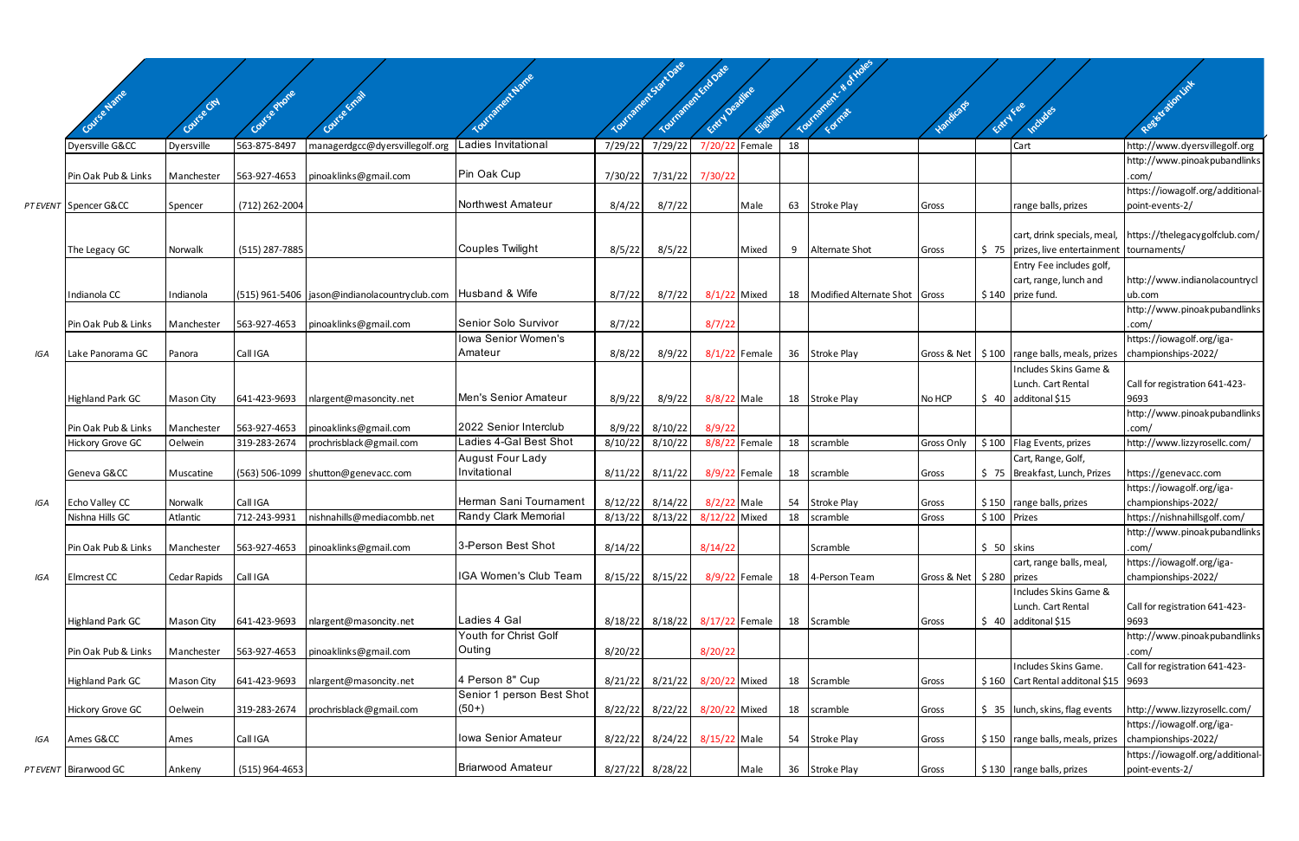|     |                                   |                     |                          |                                                                  |                                |                    | uraments to t Date | Tourisment employee          |                 |    | Tourisment # of Holes                |                              |              |                                                                           |                                                     |
|-----|-----------------------------------|---------------------|--------------------------|------------------------------------------------------------------|--------------------------------|--------------------|--------------------|------------------------------|-----------------|----|--------------------------------------|------------------------------|--------------|---------------------------------------------------------------------------|-----------------------------------------------------|
|     |                                   |                     |                          |                                                                  |                                |                    |                    |                              |                 |    |                                      |                              |              |                                                                           | Registration Link                                   |
|     |                                   |                     |                          |                                                                  |                                |                    |                    | ENT Deadline                 | Eligibilici     |    |                                      | Vandicaps                    | ENTYLES      |                                                                           |                                                     |
|     |                                   |                     |                          |                                                                  |                                |                    |                    |                              |                 |    |                                      |                              |              | Includes                                                                  |                                                     |
|     | Dyersville G&CC                   | Dyersville          | 563-875-8497             | managerdgcc@dyersvillegolf.org                                   | adies Invitational             | 7/29/22            | 7/29/22            | 7/20/22 Female               |                 | 18 |                                      |                              |              | Cart                                                                      | http://www.dyersvillegolf.org                       |
|     | Pin Oak Pub & Links               | Manchester          | 563-927-4653             | pinoaklinks@gmail.com                                            | Pin Oak Cup                    | 7/30/22            | 7/31/22            | 7/30/22                      |                 |    |                                      |                              |              |                                                                           | http://www.pinoakpubandlinks<br>.com/               |
|     | PT EVENT Spencer G&CC             | Spencer             | (712) 262-2004           |                                                                  | Northwest Amateur              | 8/4/22             | 8/7/22             |                              | Male            | 63 | Stroke Play                          | Gross                        |              | range balls, prizes                                                       | https://iowagolf.org/additional-<br>point-events-2/ |
|     |                                   |                     |                          |                                                                  |                                |                    |                    |                              |                 |    |                                      |                              |              | cart, drink specials, meal,                                               | https://thelegacygolfclub.com/                      |
|     | The Legacy GC                     | Norwalk             | (515) 287-7885           |                                                                  | Couples Twilight               | 8/5/22             | 8/5/22             |                              | Mixed           | 9  | Alternate Shot                       | Gross                        |              | $\frac{1}{2}$ 75   prizes, live entertainment                             | tournaments/                                        |
|     | Indianola CC                      | Indianola           |                          | (515) 961-5406   jason@indianolacountryclub.com   Husband & Wife |                                | 8/7/22             | 8/7/22             | 8/1/22 Mixed                 |                 |    | 18   Modified Alternate Shot   Gross |                              |              | Entry Fee includes golf,<br>cart, range, lunch and<br>$$140$ prize fund.  | http://www.indianolacountrycl<br>ub.com             |
|     |                                   |                     |                          |                                                                  |                                |                    |                    |                              |                 |    |                                      |                              |              |                                                                           | http://www.pinoakpubandlinks                        |
|     | Pin Oak Pub & Links               | Manchester          | 563-927-4653             | pinoaklinks@gmail.com                                            | Senior Solo Survivor           | 8/7/22             |                    | 8/7/22                       |                 |    |                                      |                              |              |                                                                           | .com/                                               |
|     |                                   |                     |                          |                                                                  | Iowa Senior Women's<br>Amateur |                    |                    |                              |                 |    |                                      |                              |              |                                                                           | https://iowagolf.org/iga-                           |
| IGA | Lake Panorama GC                  | Panora              | Call IGA                 |                                                                  |                                | 8/8/22             | 8/9/22             |                              | $8/1/22$ Female |    | 36 Stroke Play                       |                              |              | Gross & Net   \$100   range balls, meals, prizes<br>Includes Skins Game & | championships-2022/                                 |
|     |                                   |                     |                          |                                                                  |                                |                    |                    |                              |                 |    |                                      |                              |              | Lunch. Cart Rental                                                        | Call for registration 641-423-                      |
|     | <b>Highland Park GC</b>           | <b>Mason City</b>   | 641-423-9693             | nlargent@masoncity.net                                           | Men's Senior Amateur           | 8/9/22             | 8/9/22             | 8/8/22 Male                  |                 |    | 18 Stroke Play                       | No HCP                       |              | $$40$ additonal \$15                                                      | 9693                                                |
|     |                                   |                     |                          |                                                                  |                                |                    |                    |                              |                 |    |                                      |                              |              |                                                                           | http://www.pinoakpubandlinks                        |
|     | Pin Oak Pub & Links               | Manchester          | 563-927-4653             | pinoaklinks@gmail.com                                            | 2022 Senior Interclub          | 8/9/22             | 8/10/22            | 8/9/22                       |                 |    |                                      |                              |              |                                                                           | .com/                                               |
|     | Hickory Grove GC                  | Oelwein             | 319-283-2674             | prochrisblack@gmail.com                                          | Ladies 4-Gal Best Shot         | 8/10/22            | 8/10/22            |                              | 8/8/22 Female   | 18 | scramble                             | Gross Only                   |              | \$100   Flag Events, prizes                                               | http://www.lizzyrosellc.com/                        |
|     |                                   |                     |                          |                                                                  | <b>August Four Lady</b>        |                    |                    |                              |                 |    |                                      |                              |              | Cart, Range, Golf,                                                        |                                                     |
|     | Geneva G&CC                       | Muscatine           |                          | (563) 506-1099   shutton@genevacc.com                            | Invitational                   | 8/11/22            | 8/11/22            |                              | 8/9/22 Female   |    | 18 scramble                          | Gross                        |              | \$75   Breakfast, Lunch, Prizes                                           | https://genevacc.com                                |
|     |                                   |                     |                          |                                                                  | Herman Sani Tournament         |                    |                    |                              |                 |    |                                      |                              |              |                                                                           | https://iowagolf.org/iga-                           |
| IGA | Echo Valley CC<br>Nishna Hills GC | Norwalk<br>Atlantic | Call IGA<br>712-243-9931 | nishnahills@mediacombb.net                                       | Randy Clark Memorial           | 8/12/22<br>8/13/22 | 8/14/22<br>8/13/22 | 8/2/22 Male<br>8/12/22 Mixed |                 | 18 | 54 Stroke Play<br>scramble           | Gross                        | \$100 Prizes | $$150$ range balls, prizes                                                | championships-2022/<br>https://nishnahillsgolf.com/ |
|     |                                   |                     |                          |                                                                  |                                |                    |                    |                              |                 |    |                                      | Gross                        |              |                                                                           | http://www.pinoakpubandlinks                        |
|     | Pin Oak Pub & Links               | Manchester          | 563-927-4653             | pinoaklinks@gmail.com                                            | 3-Person Best Shot             | 8/14/22            |                    | 8/14/22                      |                 |    | Scramble                             |                              | $$50$ skins  |                                                                           | .com/                                               |
|     |                                   |                     |                          |                                                                  |                                |                    |                    |                              |                 |    |                                      |                              |              | cart, range balls, meal,                                                  | https://iowagolf.org/iga-                           |
| IGA | Elmcrest CC                       | Cedar Rapids        | Call IGA                 |                                                                  | IGA Women's Club Team          | 8/15/22            | 8/15/22            |                              | 8/9/22 Female   |    | 18 4-Person Team                     | Gross & Net   \$280   prizes |              |                                                                           | championships-2022/                                 |
|     |                                   |                     |                          |                                                                  |                                |                    |                    |                              |                 |    |                                      |                              |              | Includes Skins Game &                                                     |                                                     |
|     |                                   |                     |                          |                                                                  |                                |                    |                    |                              |                 |    |                                      |                              |              | Lunch. Cart Rental                                                        | Call for registration 641-423-                      |
|     | <b>Highland Park GC</b>           | Mason City          | 641-423-9693             | nlargent@masoncity.net                                           | Ladies 4 Gal                   | 8/18/22            | 8/18/22            | 8/17/22 Female               |                 |    | 18 Scramble                          | Gross                        |              | $$40$ additonal \$15                                                      | 9693                                                |
|     |                                   |                     |                          |                                                                  | Youth for Christ Golf          |                    |                    |                              |                 |    |                                      |                              |              |                                                                           | http://www.pinoakpubandlinks                        |
|     | Pin Oak Pub & Links               | Manchester          | 563-927-4653             | pinoaklinks@gmail.com                                            | Outing                         | 8/20/22            |                    | 8/20/22                      |                 |    |                                      |                              |              |                                                                           | .com/                                               |
|     |                                   |                     |                          |                                                                  | 4 Person 8" Cup                |                    |                    |                              |                 |    |                                      |                              |              | Includes Skins Game.                                                      | Call for registration 641-423-                      |
|     | <b>Highland Park GC</b>           | <b>Mason City</b>   | 641-423-9693             | nlargent@masoncity.net                                           | Senior 1 person Best Shot      | 8/21/22            | 8/21/22            | 8/20/22 Mixed                |                 |    | 18 Scramble                          | Gross                        |              | \$160 Cart Rental additonal \$15 9693                                     |                                                     |
|     | Hickory Grove GC                  | Oelwein             | 319-283-2674             | prochrisblack@gmail.com                                          | $(50+)$                        | 8/22/22            | 8/22/22            | 8/20/22 Mixed                |                 |    | 18 scramble                          | Gross                        |              | \$ 35 Junch, skins, flag events                                           | http://www.lizzyrosellc.com/                        |
|     |                                   |                     |                          |                                                                  |                                |                    |                    |                              |                 |    |                                      |                              |              |                                                                           | https://iowagolf.org/iga-                           |
| IGA | Ames G&CC                         | Ames                | Call IGA                 |                                                                  | Iowa Senior Amateur            | 8/22/22            | 8/24/22            | 8/15/22 Male                 |                 |    | 54 Stroke Play                       | Gross                        |              | $$150$ range balls, meals, prizes                                         | championships-2022/                                 |
|     |                                   |                     |                          |                                                                  |                                |                    |                    |                              |                 |    |                                      |                              |              |                                                                           | https://iowagolf.org/additional-                    |
|     | PT EVENT Birarwood GC             | Ankeny              | (515) 964-4653           |                                                                  | <b>Briarwood Amateur</b>       | 8/27/22 8/28/22    |                    |                              | Male            |    | 36 Stroke Play                       | Gross                        |              | $$130$ range balls, prizes                                                | point-events-2/                                     |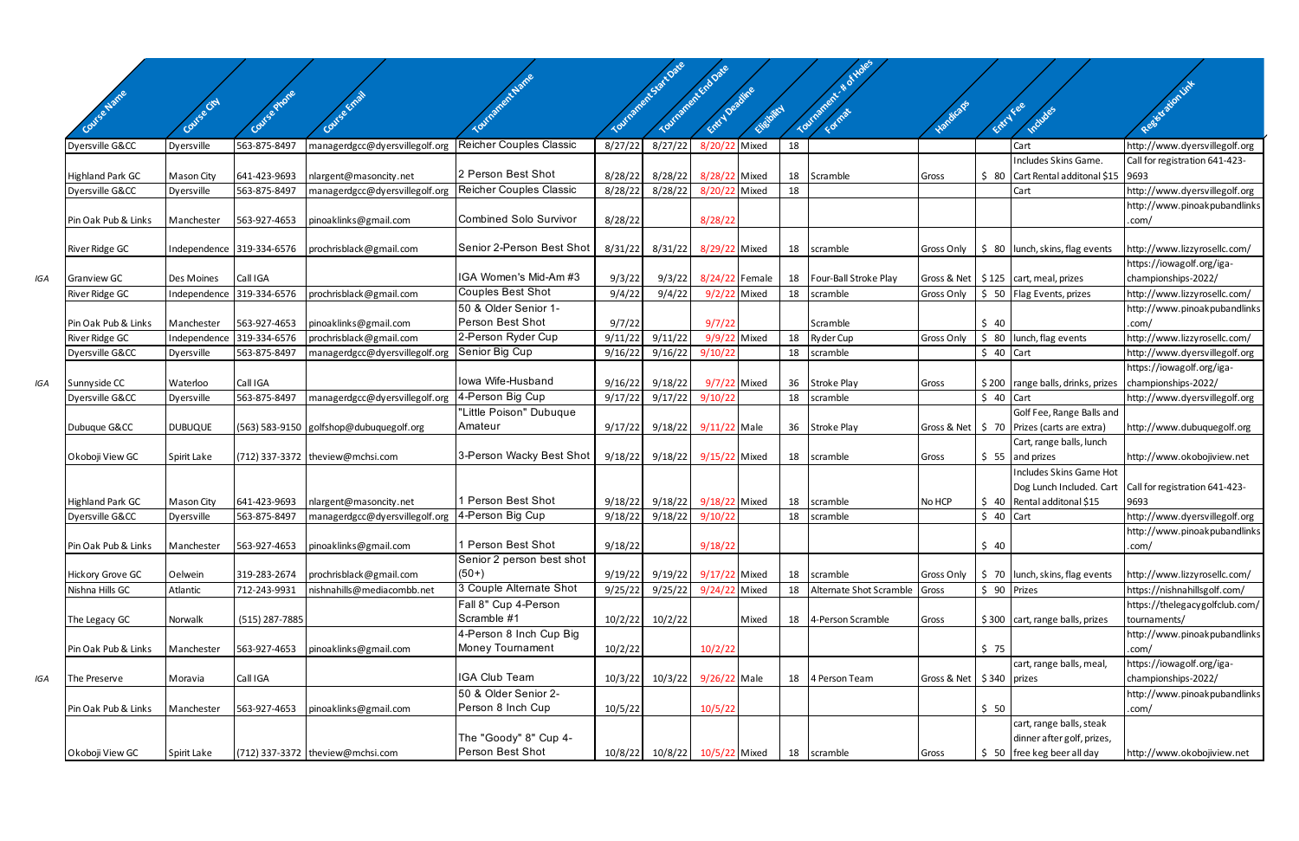|     |                         |                   |                           |                                         | <b>Inaneer Name</b>                                  |         | <b>Migriedis State Oxe</b><br>Tourganent Erangie |                |                |    | Tourmore, & & Holes        |                              |            |                                                                                | Registration link                                             |
|-----|-------------------------|-------------------|---------------------------|-----------------------------------------|------------------------------------------------------|---------|--------------------------------------------------|----------------|----------------|----|----------------------------|------------------------------|------------|--------------------------------------------------------------------------------|---------------------------------------------------------------|
|     | 150 barres              | Covise City       |                           |                                         |                                                      |         |                                                  | Entry Deadline | Cheibitcy      |    |                            |                              |            | Entry Fee                                                                      |                                                               |
|     |                         |                   |                           |                                         |                                                      |         |                                                  |                |                |    |                            |                              |            | Indudes                                                                        |                                                               |
|     | Dyersville G&CC         | Dyersville        | 563-875-8497              | managerdgcc@dyersvillegolf.org          | <b>Reicher Couples Classic</b>                       | 8/27/22 | 8/27/22                                          |                | 8/20/22 Mixed  | 18 |                            |                              |            | Cart                                                                           | http://www.dyersvillegolf.org                                 |
|     |                         |                   |                           |                                         |                                                      |         |                                                  |                |                |    |                            |                              |            | Includes Skins Game.                                                           | Call for registration 641-423-                                |
|     | <b>Highland Park GC</b> | <b>Mason City</b> | 641-423-9693              | nlargent@masoncity.net                  | 2 Person Best Shot<br><b>Reicher Couples Classic</b> | 8/28/22 | 8/28/22                                          | 8/28/22 Mixed  |                | 18 | Scramble                   | Gross                        |            | $\frac{1}{2}$ 80 Cart Rental additonal \$15 9693                               |                                                               |
|     | Dyersville G&CC         | Dyersville        | 563-875-8497              | managerdgcc@dyersvillegolf.org          |                                                      | 8/28/22 | 8/28/22                                          | 8/20/22 Mixed  |                | 18 |                            |                              |            | Cart                                                                           | http://www.dyersvillegolf.org<br>http://www.pinoakpubandlinks |
|     | Pin Oak Pub & Links     | Manchester        | 563-927-4653              | pinoaklinks@gmail.com                   | Combined Solo Survivor                               | 8/28/22 |                                                  | 8/28/22        |                |    |                            |                              |            |                                                                                | .com/                                                         |
|     |                         |                   |                           |                                         |                                                      |         |                                                  |                |                |    |                            |                              |            |                                                                                |                                                               |
|     | <b>River Ridge GC</b>   |                   | Independence 319-334-6576 | prochrisblack@gmail.com                 | Senior 2-Person Best Shot                            | 8/31/22 | 8/31/22                                          | 8/29/22 Mixed  |                |    | 18 scramble                |                              |            | Gross Only   \$ 80   lunch, skins, flag events                                 | http://www.lizzyrosellc.com/                                  |
|     |                         |                   |                           |                                         |                                                      |         |                                                  |                |                |    |                            |                              |            |                                                                                | https://iowagolf.org/iga-                                     |
| IGA | <b>Granview GC</b>      | <b>Des Moines</b> | Call IGA                  |                                         | IGA Women's Mid-Am #3                                | 9/3/22  | 9/3/22                                           |                | 8/24/22 Female |    | 18   Four-Ball Stroke Play |                              |            | Gross & Net   \$125   cart, meal, prizes                                       | championships-2022/                                           |
|     | <b>River Ridge GC</b>   |                   | Independence 319-334-6576 | prochrisblack@gmail.com                 | Couples Best Shot<br>50 & Older Senior 1-            | 9/4/22  | 9/4/22                                           |                | 9/2/22 Mixed   |    | 18 scramble                | Gross Only                   |            | \$ 50 Flag Events, prizes                                                      | http://www.lizzyrosellc.com/                                  |
|     | Pin Oak Pub & Links     | Manchester        | 563-927-4653              | pinoaklinks@gmail.com                   | <b>Person Best Shot</b>                              | 9/7/22  |                                                  | 9/7/22         |                |    | Scramble                   |                              | \$40       |                                                                                | http://www.pinoakpubandlinks<br>.com/                         |
|     | River Ridge GC          |                   | Independence 319-334-6576 | prochrisblack@gmail.com                 | 2-Person Ryder Cup                                   | 9/11/22 | 9/11/22                                          |                | 9/9/22 Mixed   | 18 | <b>Ryder Cup</b>           | Gross Only                   |            | $$80$ lunch, flag events                                                       | http://www.lizzyrosellc.com/                                  |
|     | Dyersville G&CC         | Dyersville        | 563-875-8497              | managerdgcc@dyersvillegolf.org          | Senior Big Cup                                       | 9/16/22 | 9/16/22                                          | 9/10/22        |                |    | 18 scramble                |                              | $$40$ Cart |                                                                                | http://www.dyersvillegolf.org                                 |
|     |                         |                   |                           |                                         |                                                      |         |                                                  |                |                |    |                            |                              |            |                                                                                | https://iowagolf.org/iga-                                     |
| IGA | Sunnyside CC            | Waterloo          | Call IGA                  |                                         | lowa Wife-Husband                                    | 9/16/22 | 9/18/22                                          |                | 9/7/22 Mixed   |    | 36 Stroke Play             | Gross                        |            | $$200$ range balls, drinks, prizes                                             | championships-2022/                                           |
|     | Dyersville G&CC         | Dyersville        | 563-875-8497              | managerdgcc@dyersvillegolf.org          | 4-Person Big Cup                                     | 9/17/22 | 9/17/22                                          | 9/10/22        |                |    | 18 scramble                |                              | $$40$ Cart |                                                                                | http://www.dyersvillegolf.org                                 |
|     |                         |                   |                           |                                         | "Little Poison" Dubuque<br>Amateur                   |         |                                                  |                |                |    |                            |                              |            | Golf Fee, Range Balls and                                                      |                                                               |
|     | Dubuque G&CC            | <b>DUBUQUE</b>    |                           | (563) 583-9150 golfshop@dubuquegolf.org |                                                      | 9/17/22 | 9/18/22 9/11/22 Male                             |                |                |    | 36 Stroke Play             |                              |            | Gross & Net $\vert$ \$ 70 Prizes (carts are extra)<br>Cart, range balls, lunch | http://www.dubuquegolf.org                                    |
|     | Okoboji View GC         | Spirit Lake       |                           | (712) 337-3372 theview@mchsi.com        | 3-Person Wacky Best Shot                             | 9/18/22 | 9/18/22                                          | 9/15/22 Mixed  |                |    | 18 scramble                | Gross                        |            | $$55$ and prizes                                                               | http://www.okobojiview.net                                    |
|     |                         |                   |                           |                                         |                                                      |         |                                                  |                |                |    |                            |                              |            | Includes Skins Game Hot                                                        |                                                               |
|     |                         |                   |                           |                                         |                                                      |         |                                                  |                |                |    |                            |                              |            | Dog Lunch Included. Cart                                                       | Call for registration 641-423-                                |
|     | <b>Highland Park GC</b> | Mason City        | 641-423-9693              | nlargent@masoncity.net                  | Person Best Shot                                     | 9/18/22 | 9/18/22                                          | 9/18/22 Mixed  |                | 18 | scramble                   | No HCP                       |            | $$40$ Rental additonal \$15                                                    | 9693                                                          |
|     | Dyersville G&CC         | Dyersville        | 563-875-8497              | managerdgcc@dyersvillegolf.org          | 4-Person Big Cup                                     | 9/18/22 | 9/18/22                                          | 9/10/22        |                |    | 18 scramble                |                              | $$40$ Cart |                                                                                | http://www.dyersvillegolf.org                                 |
|     |                         |                   |                           |                                         | Person Best Shot                                     |         |                                                  |                |                |    |                            |                              |            |                                                                                | http://www.pinoakpubandlinks                                  |
|     | Pin Oak Pub & Links     | Manchester        | 563-927-4653              | pinoaklinks@gmail.com                   | Senior 2 person best shot                            | 9/18/22 |                                                  | 9/18/22        |                |    |                            |                              | \$40       |                                                                                | .com/                                                         |
|     | <b>Hickory Grove GC</b> | Oelwein           | 319-283-2674              | prochrisblack@gmail.com                 | $(50+)$                                              | 9/19/22 | 9/19/22 9/17/22 Mixed                            |                |                |    | 18 scramble                | Gross Only                   |            | \$70 lunch, skins, flag events                                                 | http://www.lizzyrosellc.com/                                  |
|     | Nishna Hills GC         | Atlantic          | 712-243-9931              | nishnahills@mediacombb.net              | 3 Couple Alternate Shot                              | 9/25/22 | 9/25/22                                          | 9/24/22 Mixed  |                | 18 | Alternate Shot Scramble    | Gross                        |            | \$ 90 Prizes                                                                   | https://nishnahillsgolf.com/                                  |
|     |                         |                   |                           |                                         | Fall 8" Cup 4-Person                                 |         |                                                  |                |                |    |                            |                              |            |                                                                                | https://thelegacygolfclub.com/                                |
|     | The Legacy GC           | Norwalk           | (515) 287-7885            |                                         | Scramble #1                                          | 10/2/22 | 10/2/22                                          |                | Mixed          | 18 | 4-Person Scramble          | Gross                        |            | $$300$ cart, range balls, prizes                                               | tournaments/                                                  |
|     |                         |                   |                           |                                         | 4-Person 8 Inch Cup Big                              |         |                                                  |                |                |    |                            |                              |            |                                                                                | http://www.pinoakpubandlinks                                  |
|     | Pin Oak Pub & Links     | Manchester        | 563-927-4653              | pinoaklinks@gmail.com                   | Money Tournament                                     | 10/2/22 |                                                  | 10/2/22        |                |    |                            |                              | \$75       |                                                                                | .com/                                                         |
| IGA | The Preserve            | Moravia           | Call IGA                  |                                         | IGA Club Team                                        | 10/3/22 | 10/3/22                                          | 9/26/22 Male   |                |    | 18 4 Person Team           | Gross & Net   \$340   prizes |            | cart, range balls, meal,                                                       | https://iowagolf.org/iga-<br>championships-2022/              |
|     |                         |                   |                           |                                         | 50 & Older Senior 2-                                 |         |                                                  |                |                |    |                            |                              |            |                                                                                | http://www.pinoakpubandlinks                                  |
|     | Pin Oak Pub & Links     | Manchester        | 563-927-4653              | pinoaklinks@gmail.com                   | Person 8 Inch Cup                                    | 10/5/22 |                                                  | 10/5/22        |                |    |                            |                              | \$50       |                                                                                | .com/                                                         |
|     |                         |                   |                           |                                         |                                                      |         |                                                  |                |                |    |                            |                              |            | cart, range balls, steak                                                       |                                                               |
|     |                         |                   |                           |                                         | The "Goody" 8" Cup 4-                                |         |                                                  |                |                |    |                            |                              |            | dinner after golf, prizes,                                                     |                                                               |
|     | Okoboji View GC         | Spirit Lake       |                           | (712) 337-3372 theview@mchsi.com        | Person Best Shot                                     |         | 10/8/22 10/8/22 10/5/22 Mixed                    |                |                |    | 18 scramble                | Gross                        |            | 50 free keg beer all day                                                       | http://www.okobojiview.net                                    |